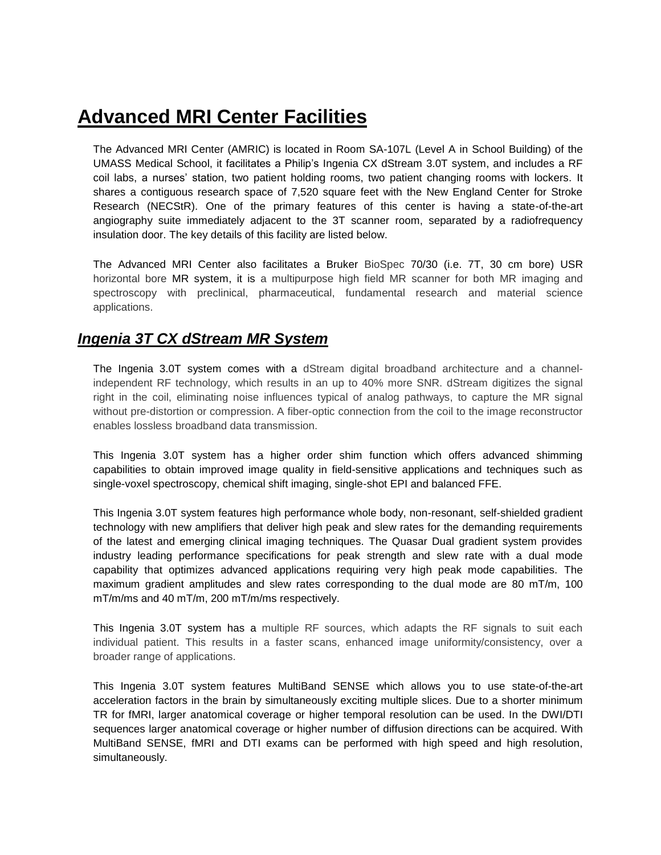# **Advanced MRI Center Facilities**

The Advanced MRI Center (AMRIC) is located in Room SA-107L (Level A in School Building) of the UMASS Medical School, it facilitates a Philip's Ingenia CX dStream 3.0T system, and includes a RF coil labs, a nurses' station, two patient holding rooms, two patient changing rooms with lockers. It shares a contiguous research space of 7,520 square feet with the New England Center for Stroke Research (NECStR). One of the primary features of this center is having a state-of-the-art angiography suite immediately adjacent to the 3T scanner room, separated by a radiofrequency insulation door. The key details of this facility are listed below.

The Advanced MRI Center also facilitates a Bruker BioSpec 70/30 (i.e. 7T, 30 cm bore) USR horizontal bore MR system, it is a multipurpose high field MR scanner for both MR imaging and spectroscopy with preclinical, pharmaceutical, fundamental research and material science applications.

# *Ingenia 3T CX dStream MR System*

The Ingenia 3.0T system comes with a dStream digital broadband architecture and a channelindependent RF technology, which results in an up to 40% more SNR. dStream digitizes the signal right in the coil, eliminating noise influences typical of analog pathways, to capture the MR signal without pre-distortion or compression. A fiber-optic connection from the coil to the image reconstructor enables lossless broadband data transmission.

This Ingenia 3.0T system has a higher order shim function which offers advanced shimming capabilities to obtain improved image quality in field-sensitive applications and techniques such as single-voxel spectroscopy, chemical shift imaging, single-shot EPI and balanced FFE.

This Ingenia 3.0T system features high performance whole body, non-resonant, self-shielded gradient technology with new amplifiers that deliver high peak and slew rates for the demanding requirements of the latest and emerging clinical imaging techniques. The Quasar Dual gradient system provides industry leading performance specifications for peak strength and slew rate with a dual mode capability that optimizes advanced applications requiring very high peak mode capabilities. The maximum gradient amplitudes and slew rates corresponding to the dual mode are 80 mT/m, 100 mT/m/ms and 40 mT/m, 200 mT/m/ms respectively.

This Ingenia 3.0T system has a multiple RF sources, which adapts the RF signals to suit each individual patient. This results in a faster scans, enhanced image uniformity/consistency, over a broader range of applications.

This Ingenia 3.0T system features MultiBand SENSE which allows you to use state-of-the-art acceleration factors in the brain by simultaneously exciting multiple slices. Due to a shorter minimum TR for fMRI, larger anatomical coverage or higher temporal resolution can be used. In the DWI/DTI sequences larger anatomical coverage or higher number of diffusion directions can be acquired. With MultiBand SENSE, fMRI and DTI exams can be performed with high speed and high resolution, simultaneously.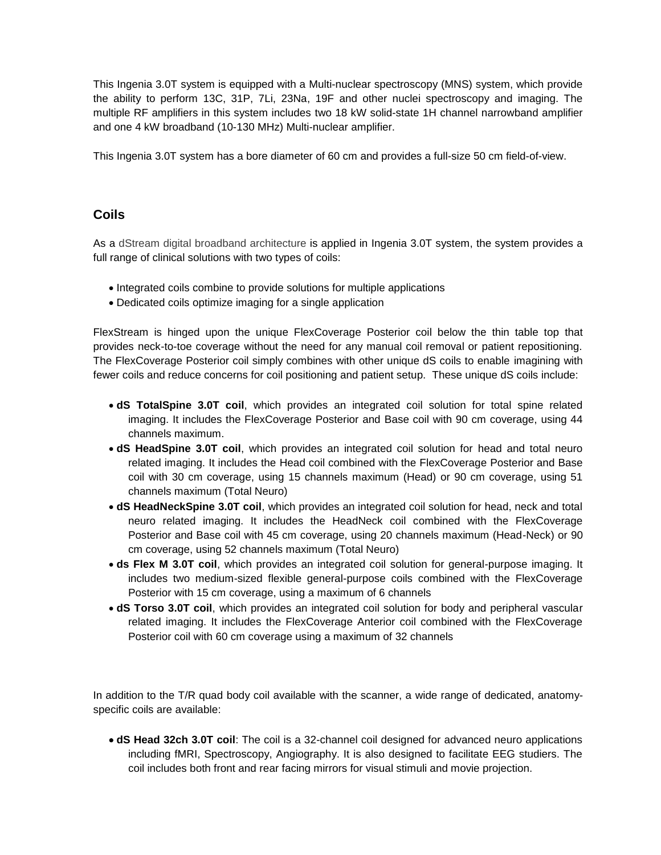This Ingenia 3.0T system is equipped with a Multi-nuclear spectroscopy (MNS) system, which provide the ability to perform 13C, 31P, 7Li, 23Na, 19F and other nuclei spectroscopy and imaging. The multiple RF amplifiers in this system includes two 18 kW solid-state 1H channel narrowband amplifier and one 4 kW broadband (10-130 MHz) Multi-nuclear amplifier.

This Ingenia 3.0T system has a bore diameter of 60 cm and provides a full-size 50 cm field-of-view.

### **Coils**

As a dStream digital broadband architecture is applied in Ingenia 3.0T system, the system provides a full range of clinical solutions with two types of coils:

- Integrated coils combine to provide solutions for multiple applications
- Dedicated coils optimize imaging for a single application

FlexStream is hinged upon the unique FlexCoverage Posterior coil below the thin table top that provides neck-to-toe coverage without the need for any manual coil removal or patient repositioning. The FlexCoverage Posterior coil simply combines with other unique dS coils to enable imagining with fewer coils and reduce concerns for coil positioning and patient setup. These unique dS coils include:

- **dS TotalSpine 3.0T coil**, which provides an integrated coil solution for total spine related imaging. It includes the FlexCoverage Posterior and Base coil with 90 cm coverage, using 44 channels maximum.
- **dS HeadSpine 3.0T coil**, which provides an integrated coil solution for head and total neuro related imaging. It includes the Head coil combined with the FlexCoverage Posterior and Base coil with 30 cm coverage, using 15 channels maximum (Head) or 90 cm coverage, using 51 channels maximum (Total Neuro)
- **dS HeadNeckSpine 3.0T coil**, which provides an integrated coil solution for head, neck and total neuro related imaging. It includes the HeadNeck coil combined with the FlexCoverage Posterior and Base coil with 45 cm coverage, using 20 channels maximum (Head-Neck) or 90 cm coverage, using 52 channels maximum (Total Neuro)
- **ds Flex M 3.0T coil**, which provides an integrated coil solution for general-purpose imaging. It includes two medium-sized flexible general-purpose coils combined with the FlexCoverage Posterior with 15 cm coverage, using a maximum of 6 channels
- **dS Torso 3.0T coil**, which provides an integrated coil solution for body and peripheral vascular related imaging. It includes the FlexCoverage Anterior coil combined with the FlexCoverage Posterior coil with 60 cm coverage using a maximum of 32 channels

In addition to the T/R quad body coil available with the scanner, a wide range of dedicated, anatomyspecific coils are available:

• **dS Head 32ch 3.0T coil**: The coil is a 32-channel coil designed for advanced neuro applications including fMRI, Spectroscopy, Angiography. It is also designed to facilitate EEG studiers. The coil includes both front and rear facing mirrors for visual stimuli and movie projection.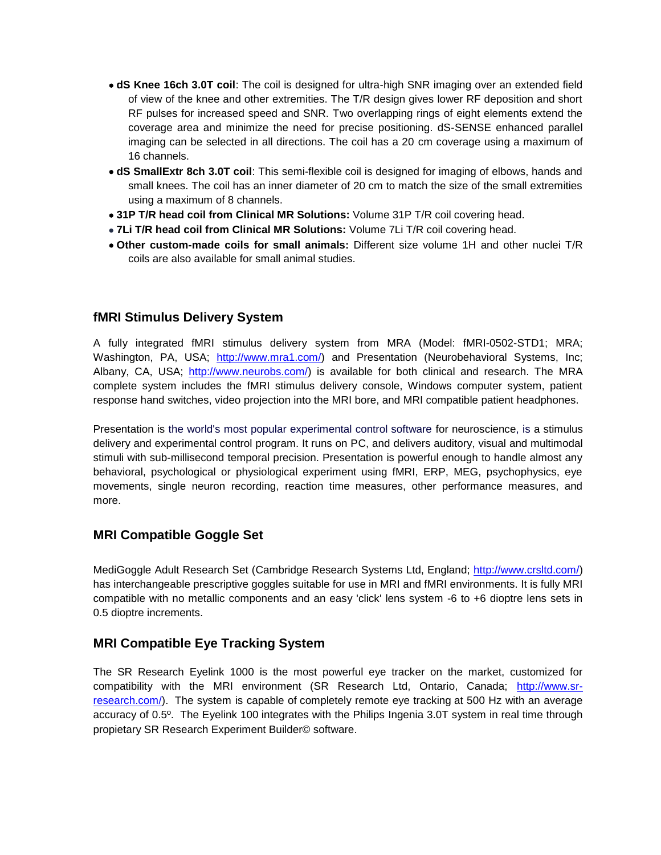- **dS Knee 16ch 3.0T coil**: The coil is designed for ultra-high SNR imaging over an extended field of view of the knee and other extremities. The T/R design gives lower RF deposition and short RF pulses for increased speed and SNR. Two overlapping rings of eight elements extend the coverage area and minimize the need for precise positioning. dS-SENSE enhanced parallel imaging can be selected in all directions. The coil has a 20 cm coverage using a maximum of 16 channels.
- **dS SmallExtr 8ch 3.0T coil**: This semi-flexible coil is designed for imaging of elbows, hands and small knees. The coil has an inner diameter of 20 cm to match the size of the small extremities using a maximum of 8 channels.
- **31P T/R head coil from Clinical MR Solutions:** Volume 31P T/R coil covering head.
- **7Li T/R head coil from Clinical MR Solutions:** Volume 7Li T/R coil covering head.
- **Other custom-made coils for small animals:** Different size volume 1H and other nuclei T/R coils are also available for small animal studies.

### **fMRI Stimulus Delivery System**

A fully integrated fMRI stimulus delivery system from MRA (Model: fMRI-0502-STD1; MRA; Washington, PA, USA; [http://www.mra1.com/\)](http://www.mra1.com/) and Presentation (Neurobehavioral Systems, Inc; Albany, CA, USA; [http://www.neurobs.com/\)](http://www.neurobs.com/) is available for both clinical and research. The MRA complete system includes the fMRI stimulus delivery console, Windows computer system, patient response hand switches, video projection into the MRI bore, and MRI compatible patient headphones.

Presentation is the world's most popular experimental control software for neuroscience, is a stimulus delivery and experimental control program. It runs on PC, and delivers auditory, visual and multimodal stimuli with sub-millisecond temporal precision. Presentation is powerful enough to handle almost any behavioral, psychological or physiological experiment using fMRI, ERP, MEG, psychophysics, eye movements, single neuron recording, reaction time measures, other performance measures, and more.

### **MRI Compatible Goggle Set**

MediGoggle Adult Research Set (Cambridge Research Systems Ltd, England; [http://www.crsltd.com/\)](http://www.crsltd.com/) has interchangeable prescriptive goggles suitable for use in MRI and fMRI environments. It is fully MRI compatible with no metallic components and an easy 'click' lens system -6 to +6 dioptre lens sets in 0.5 dioptre increments.

### **MRI Compatible Eye Tracking System**

The SR Research Eyelink 1000 is the most powerful eye tracker on the market, customized for compatibility with the MRI environment (SR Research Ltd, Ontario, Canada; [http://www.sr](http://www.sr-research.com/)[research.com/\)](http://www.sr-research.com/). The system is capable of completely remote eye tracking at 500 Hz with an average accuracy of 0.5º. The Eyelink 100 integrates with the Philips Ingenia 3.0T system in real time through propietary SR Research Experiment Builder© software.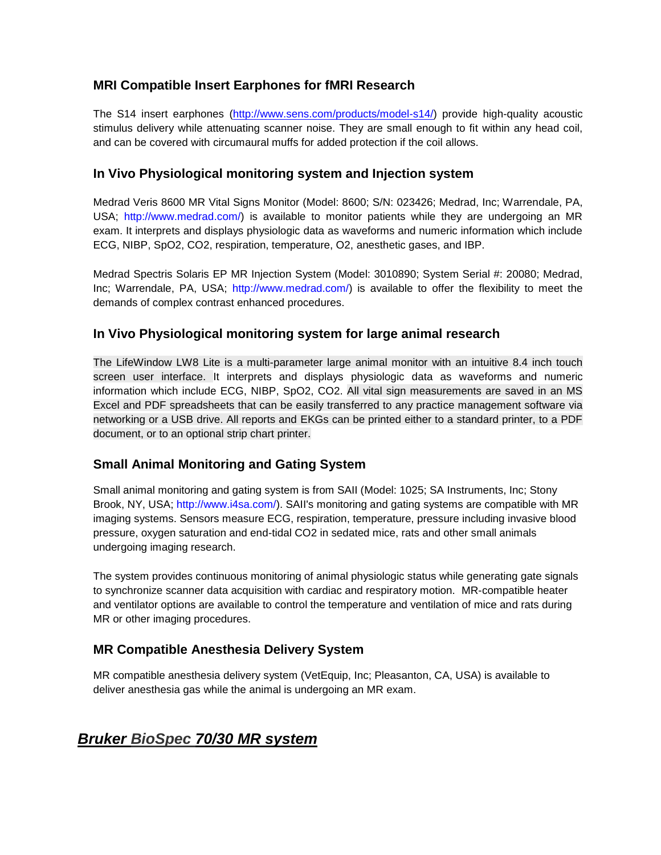# **MRI Compatible Insert Earphones for fMRI Research**

The S14 insert earphones [\(http://www.sens.com/products/model-s14/\)](http://www.sens.com/products/model-s14/) provide high-quality acoustic stimulus delivery while attenuating scanner noise. They are small enough to fit within any head coil, and can be covered with circumaural muffs for added protection if the coil allows.

# **In Vivo Physiological monitoring system and Injection system**

Medrad Veris 8600 MR Vital Signs Monitor (Model: 8600; S/N: 023426; Medrad, Inc; Warrendale, PA, USA; http://www.medrad.com/) is available to monitor patients while they are undergoing an MR exam. It interprets and displays physiologic data as waveforms and numeric information which include ECG, NIBP, SpO2, CO2, respiration, temperature, O2, anesthetic gases, and IBP.

Medrad Spectris Solaris EP MR Injection System (Model: 3010890; System Serial #: 20080; Medrad, Inc; Warrendale, PA, USA; http://www.medrad.com/) is available to offer the flexibility to meet the demands of complex contrast enhanced procedures.

### **In Vivo Physiological monitoring system for large animal research**

The LifeWindow LW8 Lite is a multi-parameter large animal monitor with an intuitive 8.4 inch touch screen user interface. It interprets and displays physiologic data as waveforms and numeric information which include ECG, NIBP, SpO2, CO2. All vital sign measurements are saved in an MS Excel and PDF spreadsheets that can be easily transferred to any practice management software via networking or a USB drive. All reports and EKGs can be printed either to a standard printer, to a PDF document, or to an optional strip chart printer.

### **Small Animal Monitoring and Gating System**

Small animal monitoring and gating system is from SAII (Model: 1025; SA Instruments, Inc; Stony Brook, NY, USA; http://www.i4sa.com/). SAII's monitoring and gating systems are compatible with MR imaging systems. Sensors measure ECG, respiration, temperature, pressure including invasive blood pressure, oxygen saturation and end-tidal CO2 in sedated mice, rats and other small animals undergoing imaging research.

The system provides continuous monitoring of animal physiologic status while generating gate signals to synchronize scanner data acquisition with cardiac and respiratory motion. MR-compatible heater and ventilator options are available to control the temperature and ventilation of mice and rats during MR or other imaging procedures.

# **MR Compatible Anesthesia Delivery System**

MR compatible anesthesia delivery system (VetEquip, Inc; Pleasanton, CA, USA) is available to deliver anesthesia gas while the animal is undergoing an MR exam.

# *Bruker BioSpec 70/30 MR system*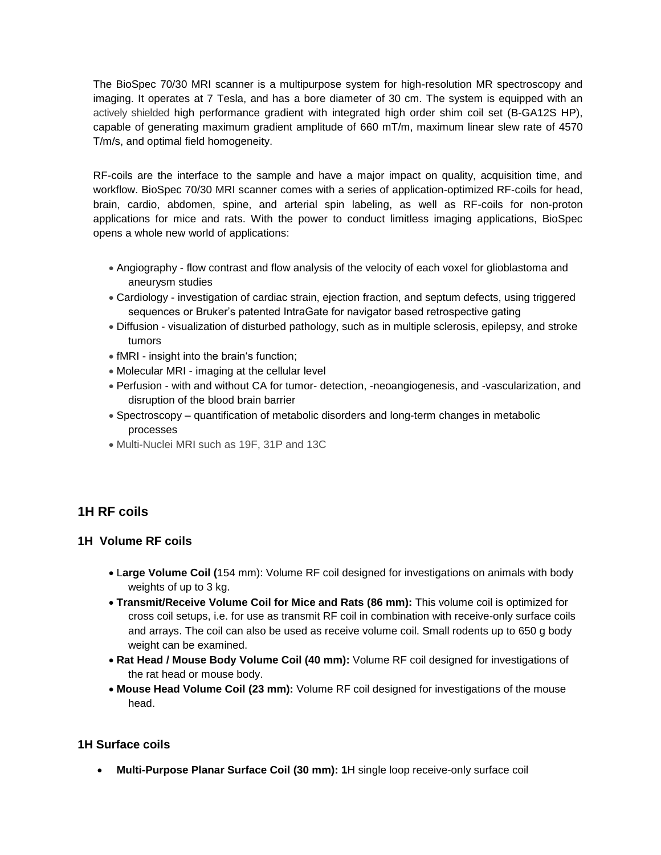The BioSpec 70/30 MRI scanner is a multipurpose system for high-resolution MR spectroscopy and imaging. It operates at 7 Tesla, and has a bore diameter of 30 cm. The system is equipped with an actively shielded high performance gradient with integrated high order shim coil set (B-GA12S HP), capable of generating maximum gradient amplitude of 660 mT/m, maximum linear slew rate of 4570 T/m/s, and optimal field homogeneity.

RF-coils are the interface to the sample and have a major impact on quality, acquisition time, and workflow. BioSpec 70/30 MRI scanner comes with a series of application-optimized RF-coils for head, brain, cardio, abdomen, spine, and arterial spin labeling, as well as RF-coils for non-proton applications for mice and rats. With the power to conduct limitless imaging applications, BioSpec opens a whole new world of applications:

- Angiography flow contrast and flow analysis of the velocity of each voxel for glioblastoma and aneurysm studies
- Cardiology investigation of cardiac strain, ejection fraction, and septum defects, using triggered sequences or Bruker's patented IntraGate for navigator based retrospective gating
- Diffusion visualization of disturbed pathology, such as in multiple sclerosis, epilepsy, and stroke tumors
- fMRI insight into the brain's function;
- Molecular MRI imaging at the cellular level
- Perfusion with and without CA for tumor- detection, -neoangiogenesis, and -vascularization, and disruption of the blood brain barrier
- Spectroscopy quantification of metabolic disorders and long-term changes in metabolic processes
- Multi-Nuclei MRI such as 19F, 31P and 13C

### **1H RF coils**

### **1H Volume RF coils**

- L**arge Volume Coil (**154 mm): Volume RF coil designed for investigations on animals with body weights of up to 3 kg.
- **Transmit/Receive Volume Coil for Mice and Rats (86 mm):** This volume coil is optimized for cross coil setups, i.e. for use as transmit RF coil in combination with receive-only surface coils and arrays. The coil can also be used as receive volume coil. Small rodents up to 650 g body weight can be examined.
- **Rat Head / Mouse Body Volume Coil (40 mm):** Volume RF coil designed for investigations of the rat head or mouse body.
- **Mouse Head Volume Coil (23 mm):** Volume RF coil designed for investigations of the mouse head.

### **1H Surface coils**

• **Multi-Purpose Planar Surface Coil (30 mm): 1**H single loop receive-only surface coil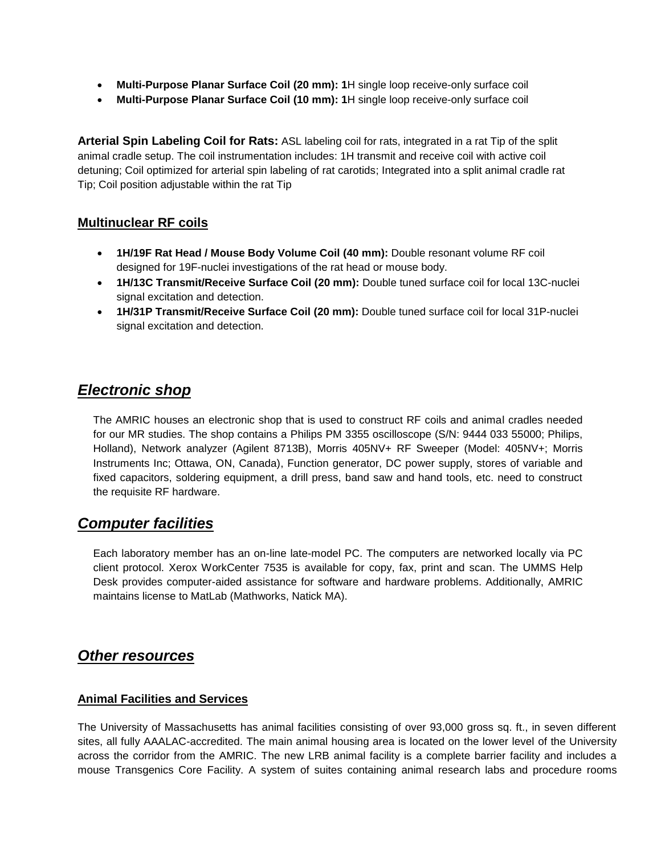- **Multi-Purpose Planar Surface Coil (20 mm): 1**H single loop receive-only surface coil
- **Multi-Purpose Planar Surface Coil (10 mm): 1**H single loop receive-only surface coil

**Arterial Spin Labeling Coil for Rats:** ASL labeling coil for rats, integrated in a rat Tip of the split animal cradle setup. The coil instrumentation includes: 1H transmit and receive coil with active coil detuning; Coil optimized for arterial spin labeling of rat carotids; Integrated into a split animal cradle rat Tip; Coil position adjustable within the rat Tip

### **Multinuclear RF coils**

- **1H/19F Rat Head / Mouse Body Volume Coil (40 mm):** Double resonant volume RF coil designed for 19F-nuclei investigations of the rat head or mouse body.
- **1H/13C Transmit/Receive Surface Coil (20 mm):** Double tuned surface coil for local 13C-nuclei signal excitation and detection.
- **1H/31P Transmit/Receive Surface Coil (20 mm):** Double tuned surface coil for local 31P-nuclei signal excitation and detection.

# *Electronic shop*

The AMRIC houses an electronic shop that is used to construct RF coils and animal cradles needed for our MR studies. The shop contains a Philips PM 3355 oscilloscope (S/N: 9444 033 55000; Philips, Holland), Network analyzer (Agilent 8713B), Morris 405NV+ RF Sweeper (Model: 405NV+; Morris Instruments Inc; Ottawa, ON, Canada), Function generator, DC power supply, stores of variable and fixed capacitors, soldering equipment, a drill press, band saw and hand tools, etc. need to construct the requisite RF hardware.

# *Computer facilities*

Each laboratory member has an on-line late-model PC. The computers are networked locally via PC client protocol. Xerox WorkCenter 7535 is available for copy, fax, print and scan. The UMMS Help Desk provides computer-aided assistance for software and hardware problems. Additionally, AMRIC maintains license to MatLab (Mathworks, Natick MA).

# *Other resources*

### **Animal Facilities and Services**

The University of Massachusetts has animal facilities consisting of over 93,000 gross sq. ft., in seven different sites, all fully AAALAC-accredited. The main animal housing area is located on the lower level of the University across the corridor from the AMRIC. The new LRB animal facility is a complete barrier facility and includes a mouse Transgenics Core Facility. A system of suites containing animal research labs and procedure rooms